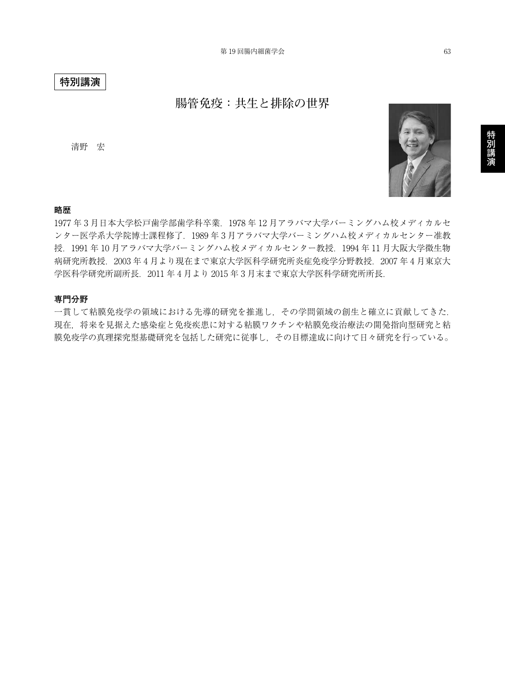## **特別講演**

# **腸管免疫:共生と排除の世界**

清野 宏



## **略歴**

1977 年 3 月日本大学松戸歯学部歯学科卒業.1978 年 12 月アラバマ大学バーミングハム校メディカルセ ンター医学系大学院博士課程修了.1989 年 3 月アラバマ大学バーミングハム校メディカルセンター准教 授.1991 年 10 月アラバマ大学バーミングハム校メディカルセンター教授.1994 年 11 月大阪大学微生物 病研究所教授.2003 年 4 月より現在まで東京大学医科学研究所炎症免疫学分野教授.2007 年 4 月東京大 学医科学研究所副所長.2011 年 4 月より 2015 年 3 月末まで東京大学医科学研究所所長.

#### **専門分野**

一貫して粘膜免疫学の領域における先導的研究を推進し,その学問領域の創生と確立に貢献してきた. 現在,将来を見据えた感染症と免疫疾患に対する粘膜ワクチンや粘膜免疫治療法の開発指向型研究と粘 膜免疫学の真理探究型基礎研究を包括した研究に従事し,その目標達成に向けて日々研究を行っている。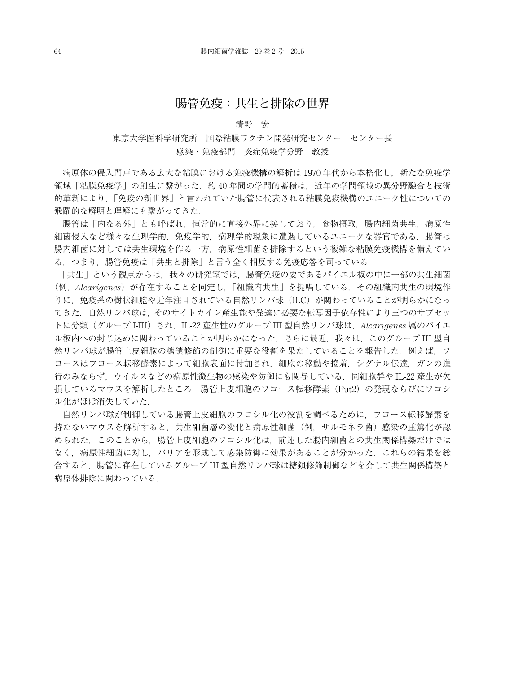## **腸管免疫:共生と排除の世界**

### 清野 宏

## 東京大学医科学研究所 国際粘膜ワクチン開発研究センター センター長 感染・免疫部門 炎症免疫学分野 教授

病原体の侵入門戸である広大な粘膜における免疫機構の解析は 1970 年代から本格化し,新たな免疫学 領域「粘膜免疫学」の創生に繋がった.約 40 年間の学問的蓄積は,近年の学問領域の異分野融合と技術 的革新により,「免疫の新世界」と言われていた腸管に代表される粘膜免疫機構のユニーク性についての 飛躍的な解明と理解にも繋がってきた.

腸管は「内なる外」とも呼ばれ、恒常的に直接外界に接しており、食物摂取、腸内細菌共生、病原性 細菌侵入など様々な生理学的,免疫学的,病理学的現象に遭遇しているユニークな器官である.腸管は 腸内細菌に対しては共生環境を作る一方,病原性細菌を排除するという複雑な粘膜免疫機構を備えてい る.つまり,腸管免疫は「共生と排除」と言う全く相反する免疫応答を司っている.

「共生」という観点からは,我々の研究室では,腸管免疫の要であるパイエル板の中に一部の共生細菌 (例,*Alcarigenes*)が存在することを同定し,「組織内共生」を提唱している.その組織内共生の環境作 りに,免疫系の樹状細胞や近年注目されている自然リンパ球(ILC)が関わっていることが明らかになっ てきた.自然リンパ球は,そのサイトカイン産生能や発達に必要な転写因子依存性により三つのサブセッ トに分類(グループ I-III)され,IL-22 産生性のグループ III 型自然リンパ球は,*Alcarigenes* 属のパイエ ル板内への封じ込めに関わっていることが明らかになった.さらに最近,我々は,このグループ III 型自 然リンパ球が腸管上皮細胞の糖鎖修飾の制御に重要な役割を果たしていることを報告した.例えば、フ コースはフコース転移酵素によって細胞表面に付加され,細胞の移動や接着,シグナル伝達,ガンの進 行のみならず、ウイルスなどの病原性微生物の感染や防御にも関与している. 同細胞群や IL-22 産生が欠 損しているマウスを解析したところ、腸管上皮細胞のフコース転移酵素(Fut2)の発現ならびにフコシ ル化がほぼ消失していた.

自然リンパ球が制御している腸管上皮細胞のフコシル化の役割を調べるために,フコース転移酵素を 持たないマウスを解析すると,共生細菌層の変化と病原性細菌(例,サルモネラ菌)感染の重篤化が認 められた.このことから,腸管上皮細胞のフコシル化は,前述した腸内細菌との共生関係構築だけでは なく,病原性細菌に対し,バリアを形成して感染防御に効果があることが分かった.これらの結果を総 合すると,腸管に存在しているグループ III 型自然リンパ球は糖鎖修飾制御などを介して共生関係構築と 病原体排除に関わっている.